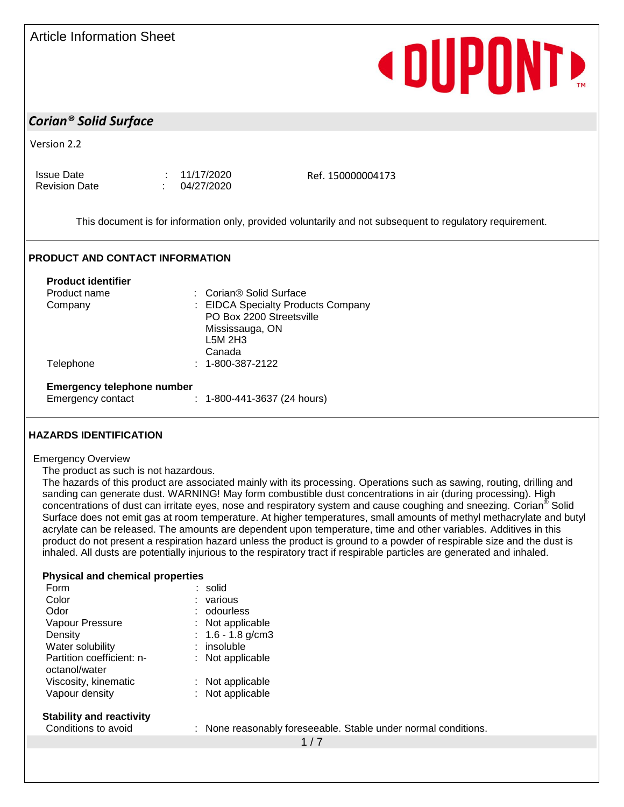## Article Information Sheet

# **«DUPONT»**

## *Corian® Solid Surface*

Version 2.2

Issue Date : 11/17/2020 Revision Date : 04/27/2020

Ref. 150000004173

This document is for information only, provided voluntarily and not subsequent to regulatory requirement.

### **PRODUCT AND CONTACT INFORMATION**

| <b>Product identifier</b>         |                                                                |
|-----------------------------------|----------------------------------------------------------------|
| Product name                      | : Corian® Solid Surface                                        |
| Company                           | : EIDCA Specialty Products Company<br>PO Box 2200 Streetsville |
|                                   | Mississauga, ON                                                |
|                                   | L5M 2H3                                                        |
|                                   | Canada                                                         |
| Telephone                         | $: 1 - 800 - 387 - 2122$                                       |
| <b>Emergency telephone number</b> |                                                                |
| <b>Emergency contact</b>          | $: 1 - 800 - 441 - 3637$ (24 hours)                            |

### **HAZARDS IDENTIFICATION**

### Emergency Overview

The product as such is not hazardous.

The hazards of this product are associated mainly with its processing. Operations such as sawing, routing, drilling and sanding can generate dust. WARNING! May form combustible dust concentrations in air (during processing). High concentrations of dust can irritate eyes, nose and respiratory system and cause coughing and sneezing. Corian<sup>®</sup> Solid Surface does not emit gas at room temperature. At higher temperatures, small amounts of methyl methacrylate and butyl acrylate can be released. The amounts are dependent upon temperature, time and other variables. Additives in this product do not present a respiration hazard unless the product is ground to a powder of respirable size and the dust is inhaled. All dusts are potentially injurious to the respiratory tract if respirable particles are generated and inhaled.

### **Physical and chemical properties**

| Form                      | : solid             |
|---------------------------|---------------------|
| Color                     | : various           |
| Odor                      | : odourless         |
| Vapour Pressure           | : Not applicable    |
| Density                   | : $1.6 - 1.8$ g/cm3 |
| Water solubility          | $:$ insoluble       |
| Partition coefficient: n- | $:$ Not applicable  |
| octanol/water             |                     |
| Viscosity, kinematic      | : Not applicable    |
| Vapour density            | : Not applicable    |
|                           |                     |

| Conditions to avoid |
|---------------------|
|---------------------|

: None reasonably foreseeable. Stable under normal conditions.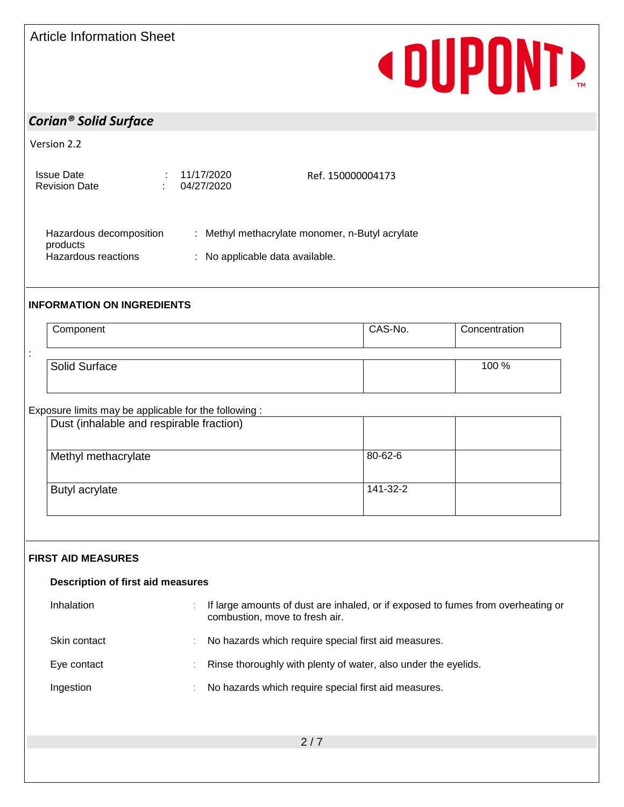# **« DUPONTE**

## *Corian® Solid Surface*

Version 2.2

| Issue Date<br>Revision Date | : 11/17/2020<br>1.04/27/2020 | Ref. 150000004173 |
|-----------------------------|------------------------------|-------------------|
|                             |                              |                   |

| Hazardous decomposition<br>products | : Methyl methacrylate monomer, n-Butyl acrylate |
|-------------------------------------|-------------------------------------------------|
| Hazardous reactions                 | : No applicable data available.                 |

## **INFORMATION ON INGREDIENTS**

| Component     | CAS-No. | Concentration |
|---------------|---------|---------------|
|               |         |               |
| Solid Surface |         | 100 %         |

## Exposure limits may be applicable for the following :

| Dust (inhalable and respirable fraction) |          |  |
|------------------------------------------|----------|--|
| Methyl methacrylate                      | 80-62-6  |  |
| Butyl acrylate                           | 141-32-2 |  |

## **FIRST AID MEASURES**

| <b>Description of first aid measures</b> |                                                                                                                    |  |
|------------------------------------------|--------------------------------------------------------------------------------------------------------------------|--|
| Inhalation                               | If large amounts of dust are inhaled, or if exposed to fumes from overheating or<br>combustion, move to fresh air. |  |
| Skin contact                             | No hazards which require special first aid measures.                                                               |  |
| Eye contact                              | Rinse thoroughly with plenty of water, also under the eyelids.                                                     |  |
| Ingestion                                | No hazards which require special first aid measures.                                                               |  |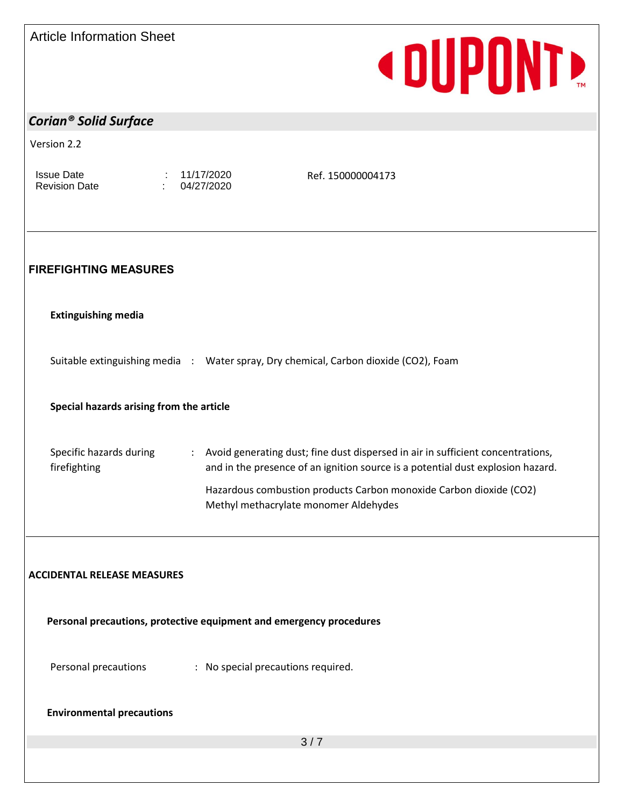|  | <b>Article Information Sheet</b> |  |
|--|----------------------------------|--|
|--|----------------------------------|--|

# **«DUPONT»**

| <b>Corian<sup>®</sup> Solid Surface</b>                             |                          |                                                                                                                                                                                                                                                                                     |  |
|---------------------------------------------------------------------|--------------------------|-------------------------------------------------------------------------------------------------------------------------------------------------------------------------------------------------------------------------------------------------------------------------------------|--|
|                                                                     |                          |                                                                                                                                                                                                                                                                                     |  |
| Version 2.2                                                         |                          |                                                                                                                                                                                                                                                                                     |  |
| <b>Issue Date</b><br><b>Revision Date</b>                           | 11/17/2020<br>04/27/2020 | Ref. 150000004173                                                                                                                                                                                                                                                                   |  |
| <b>FIREFIGHTING MEASURES</b>                                        |                          |                                                                                                                                                                                                                                                                                     |  |
| <b>Extinguishing media</b>                                          |                          |                                                                                                                                                                                                                                                                                     |  |
|                                                                     |                          | Suitable extinguishing media : Water spray, Dry chemical, Carbon dioxide (CO2), Foam                                                                                                                                                                                                |  |
| Special hazards arising from the article                            |                          |                                                                                                                                                                                                                                                                                     |  |
| Specific hazards during<br>firefighting                             |                          | : Avoid generating dust; fine dust dispersed in air in sufficient concentrations,<br>and in the presence of an ignition source is a potential dust explosion hazard.<br>Hazardous combustion products Carbon monoxide Carbon dioxide (CO2)<br>Methyl methacrylate monomer Aldehydes |  |
| <b>ACCIDENTAL RELEASE MEASURES</b>                                  |                          |                                                                                                                                                                                                                                                                                     |  |
| Personal precautions, protective equipment and emergency procedures |                          |                                                                                                                                                                                                                                                                                     |  |
| Personal precautions                                                |                          | : No special precautions required.                                                                                                                                                                                                                                                  |  |
| <b>Environmental precautions</b>                                    |                          |                                                                                                                                                                                                                                                                                     |  |
|                                                                     |                          | 3/7                                                                                                                                                                                                                                                                                 |  |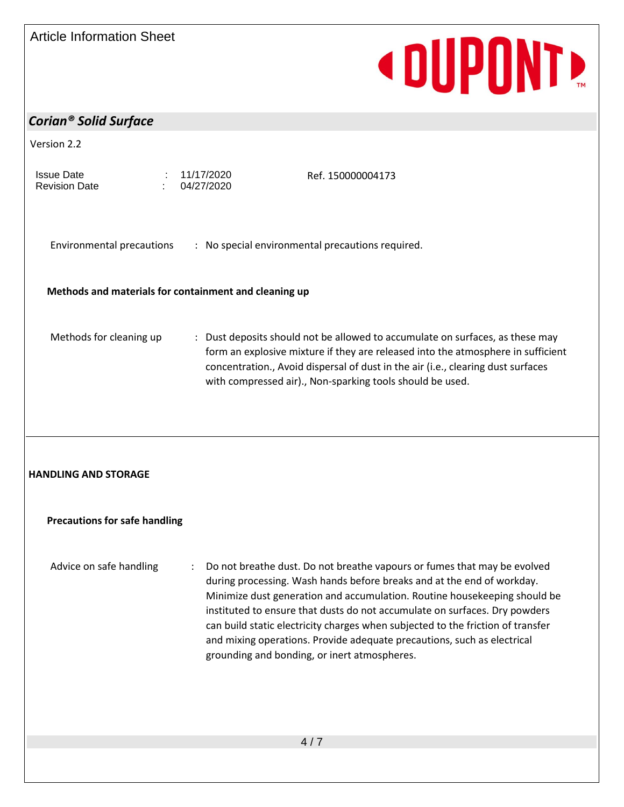# **«DUPONT»**

# *Corian® Solid Surface*

| Version 2.2                               |                                                                                                                                                                                                                                                                                                                                                                                                                                                                                                                               |
|-------------------------------------------|-------------------------------------------------------------------------------------------------------------------------------------------------------------------------------------------------------------------------------------------------------------------------------------------------------------------------------------------------------------------------------------------------------------------------------------------------------------------------------------------------------------------------------|
| <b>Issue Date</b><br><b>Revision Date</b> | 11/17/2020<br>Ref. 150000004173<br>04/27/2020                                                                                                                                                                                                                                                                                                                                                                                                                                                                                 |
|                                           |                                                                                                                                                                                                                                                                                                                                                                                                                                                                                                                               |
| Environmental precautions                 | : No special environmental precautions required.                                                                                                                                                                                                                                                                                                                                                                                                                                                                              |
|                                           | Methods and materials for containment and cleaning up                                                                                                                                                                                                                                                                                                                                                                                                                                                                         |
|                                           |                                                                                                                                                                                                                                                                                                                                                                                                                                                                                                                               |
| Methods for cleaning up                   | : Dust deposits should not be allowed to accumulate on surfaces, as these may<br>form an explosive mixture if they are released into the atmosphere in sufficient<br>concentration., Avoid dispersal of dust in the air (i.e., clearing dust surfaces<br>with compressed air)., Non-sparking tools should be used.                                                                                                                                                                                                            |
|                                           |                                                                                                                                                                                                                                                                                                                                                                                                                                                                                                                               |
|                                           |                                                                                                                                                                                                                                                                                                                                                                                                                                                                                                                               |
|                                           |                                                                                                                                                                                                                                                                                                                                                                                                                                                                                                                               |
|                                           |                                                                                                                                                                                                                                                                                                                                                                                                                                                                                                                               |
| <b>Precautions for safe handling</b>      |                                                                                                                                                                                                                                                                                                                                                                                                                                                                                                                               |
|                                           |                                                                                                                                                                                                                                                                                                                                                                                                                                                                                                                               |
| Advice on safe handling                   | : Do not breathe dust. Do not breathe vapours or fumes that may be evolved<br>during processing. Wash hands before breaks and at the end of workday.<br>Minimize dust generation and accumulation. Routine housekeeping should be<br>instituted to ensure that dusts do not accumulate on surfaces. Dry powders<br>can build static electricity charges when subjected to the friction of transfer<br>and mixing operations. Provide adequate precautions, such as electrical<br>grounding and bonding, or inert atmospheres. |
|                                           |                                                                                                                                                                                                                                                                                                                                                                                                                                                                                                                               |
| <b>HANDLING AND STORAGE</b>               |                                                                                                                                                                                                                                                                                                                                                                                                                                                                                                                               |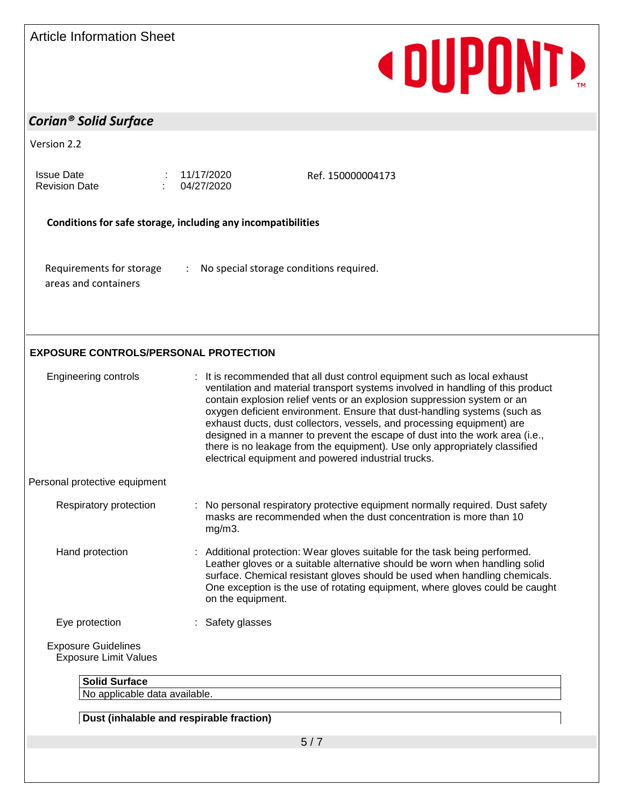## Article Information Sheet

# **«DUPONT»**

## *Corian® Solid Surface*

| Version 2.2<br><b>Issue Date</b><br><b>Revision Date</b><br>Conditions for safe storage, including any incompatibilities<br>Requirements for storage<br>÷<br>areas and containers<br><b>Engineering controls</b> | 11/17/2020<br>Ref. 150000004173<br>04/27/2020<br>No special storage conditions required.                                                                                                                                                                                                                                                                                                                                                                                                                                                                                                                           |  |  |  |
|------------------------------------------------------------------------------------------------------------------------------------------------------------------------------------------------------------------|--------------------------------------------------------------------------------------------------------------------------------------------------------------------------------------------------------------------------------------------------------------------------------------------------------------------------------------------------------------------------------------------------------------------------------------------------------------------------------------------------------------------------------------------------------------------------------------------------------------------|--|--|--|
| <b>EXPOSURE CONTROLS/PERSONAL PROTECTION</b>                                                                                                                                                                     |                                                                                                                                                                                                                                                                                                                                                                                                                                                                                                                                                                                                                    |  |  |  |
|                                                                                                                                                                                                                  |                                                                                                                                                                                                                                                                                                                                                                                                                                                                                                                                                                                                                    |  |  |  |
|                                                                                                                                                                                                                  |                                                                                                                                                                                                                                                                                                                                                                                                                                                                                                                                                                                                                    |  |  |  |
|                                                                                                                                                                                                                  |                                                                                                                                                                                                                                                                                                                                                                                                                                                                                                                                                                                                                    |  |  |  |
|                                                                                                                                                                                                                  |                                                                                                                                                                                                                                                                                                                                                                                                                                                                                                                                                                                                                    |  |  |  |
|                                                                                                                                                                                                                  | : It is recommended that all dust control equipment such as local exhaust<br>ventilation and material transport systems involved in handling of this product<br>contain explosion relief vents or an explosion suppression system or an<br>oxygen deficient environment. Ensure that dust-handling systems (such as<br>exhaust ducts, dust collectors, vessels, and processing equipment) are<br>designed in a manner to prevent the escape of dust into the work area (i.e.,<br>there is no leakage from the equipment). Use only appropriately classified<br>electrical equipment and powered industrial trucks. |  |  |  |
| Personal protective equipment                                                                                                                                                                                    |                                                                                                                                                                                                                                                                                                                                                                                                                                                                                                                                                                                                                    |  |  |  |
| Respiratory protection                                                                                                                                                                                           | No personal respiratory protective equipment normally required. Dust safety<br>masks are recommended when the dust concentration is more than 10<br>$mg/m3$ .                                                                                                                                                                                                                                                                                                                                                                                                                                                      |  |  |  |
| Hand protection                                                                                                                                                                                                  | : Additional protection: Wear gloves suitable for the task being performed.<br>Leather gloves or a suitable alternative should be worn when handling solid<br>surface. Chemical resistant gloves should be used when handling chemicals.<br>One exception is the use of rotating equipment, where gloves could be caught<br>on the equipment.                                                                                                                                                                                                                                                                      |  |  |  |
| Eye protection                                                                                                                                                                                                   | : Safety glasses                                                                                                                                                                                                                                                                                                                                                                                                                                                                                                                                                                                                   |  |  |  |
| <b>Exposure Guidelines</b><br><b>Exposure Limit Values</b>                                                                                                                                                       |                                                                                                                                                                                                                                                                                                                                                                                                                                                                                                                                                                                                                    |  |  |  |

**Dust (inhalable and respirable fraction)**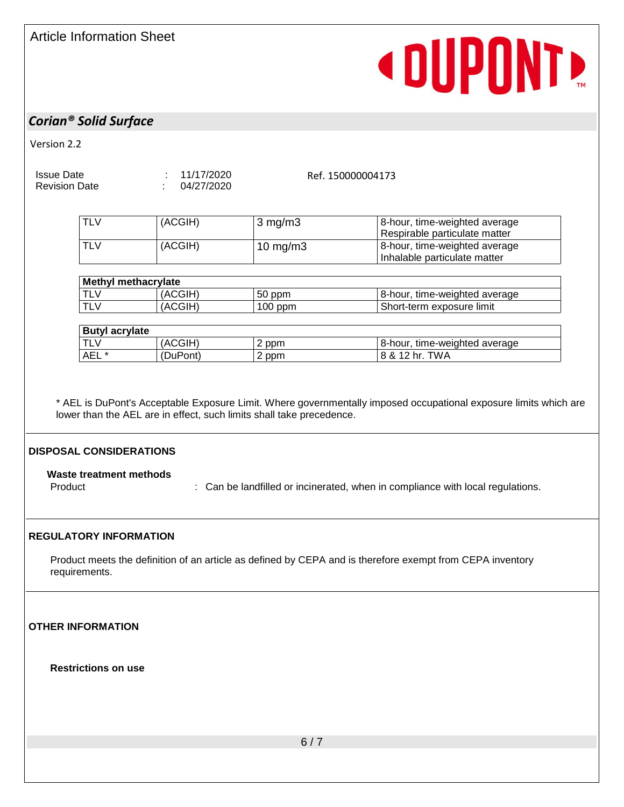# **«DUPONT»**

## *Corian® Solid Surface*

Version 2.2

Issue Date : 11/17/2020

Revision Date : 04/27/2020

Ref. 150000004173

| <b>TLV</b> | (ACGIH) | $3$ mg/m $3$ | 8-hour, time-weighted average<br>Respirable particulate matter |
|------------|---------|--------------|----------------------------------------------------------------|
| <b>TLV</b> | (ACGIH) | 10 mg/m $3$  | 8-hour, time-weighted average<br>Inhalable particulate matter  |

| <b>Methyl methacrylate</b> |              |           |                                    |  |  |  |
|----------------------------|--------------|-----------|------------------------------------|--|--|--|
| <b>TL\</b>                 | <b>ACGIH</b> | 50<br>ppm | 8-hour.<br>, time-weighted average |  |  |  |
| <b>TL\</b>                 | <b>ACGIH</b> | $100$ ppm | Short-term exposure limit          |  |  |  |

| <b>Butyl acrylate</b> |          |       |                               |
|-----------------------|----------|-------|-------------------------------|
| <b>TLV</b>            | 'ACGIH)  | 2 ppm | 8-hour, time-weighted average |
| <b>AEL</b>            | (DuPont) | 2 ppm | 8 & 12 hr. TWA                |

\* AEL is DuPont's Acceptable Exposure Limit. Where governmentally imposed occupational exposure limits which are lower than the AEL are in effect, such limits shall take precedence.

## **DISPOSAL CONSIDERATIONS**

**Waste treatment methods** Product **State of the landfilled or incinerated, when in compliance with local regulations.** 

## **REGULATORY INFORMATION**

Product meets the definition of an article as defined by CEPA and is therefore exempt from CEPA inventory requirements.

**OTHER INFORMATION**

**Restrictions on use**